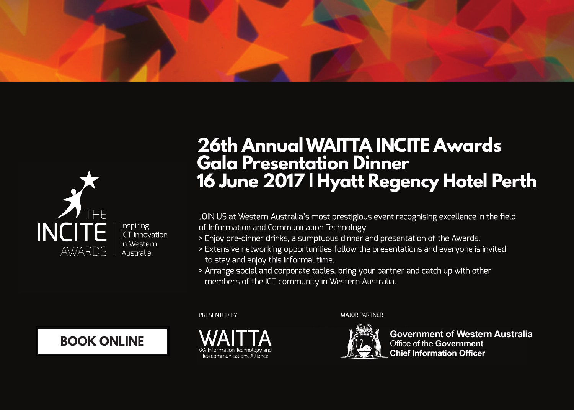



Inspiring ICT Innovation in Western Australia

# **26th AnnualWAITTA INCITE Awards Gala Presentation Dinner 16 June 2017 | Hyatt Regency Hotel Perth**

JOIN US at Western Australia's most prestigious event recognising excellence in the field of Information and Communication Technology.

- > Enjoy pre-dinner drinks, a sumptuous dinner and presentation of the Awards.
- > Extensive networking opportunities follow the presentations and everyone is invited to stay and enjoy this informal time.
- > Arrange social and corporate tables, bring your partner and catch up with other members of the ICT community in Western Australia.

PRESENTED BY

**BOOK [ONLINE](http://starsevents.com.au/waitta-incite-awards-2017/)**



**MAIOR PARTNER** 



**Government of Western Australia** Office of the **Government Chief Information Officer**